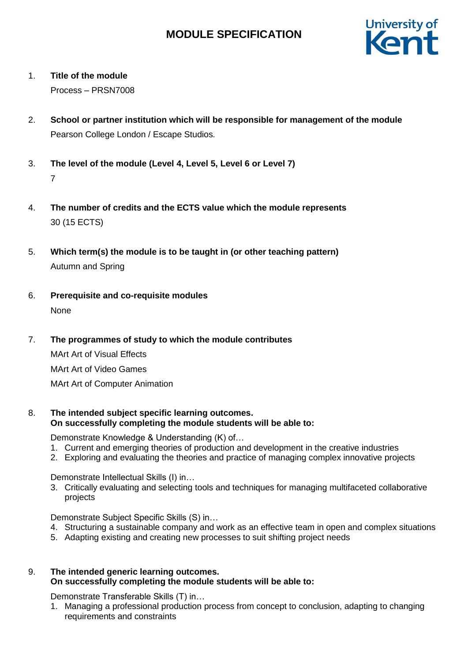

# 1. **Title of the module**

Process – PRSN7008

- 2. **School or partner institution which will be responsible for management of the module** Pearson College London / Escape Studios*.*
- 3. **The level of the module (Level 4, Level 5, Level 6 or Level 7)** 7
- 4. **The number of credits and the ECTS value which the module represents**  30 (15 ECTS)
- 5. **Which term(s) the module is to be taught in (or other teaching pattern)** Autumn and Spring
- 6. **Prerequisite and co-requisite modules** None
- 7. **The programmes of study to which the module contributes**

MArt Art of Visual Effects MArt Art of Video Games

MArt Art of Computer Animation

8. **The intended subject specific learning outcomes. On successfully completing the module students will be able to:**

Demonstrate Knowledge & Understanding (K) of…

- 1. Current and emerging theories of production and development in the creative industries
- 2. Exploring and evaluating the theories and practice of managing complex innovative projects

Demonstrate Intellectual Skills (I) in…

3. Critically evaluating and selecting tools and techniques for managing multifaceted collaborative projects

Demonstrate Subject Specific Skills (S) in…

- 4. Structuring a sustainable company and work as an effective team in open and complex situations
- 5. Adapting existing and creating new processes to suit shifting project needs
- 9. **The intended generic learning outcomes. On successfully completing the module students will be able to:**

Demonstrate Transferable Skills (T) in…

1. Managing a professional production process from concept to conclusion, adapting to changing requirements and constraints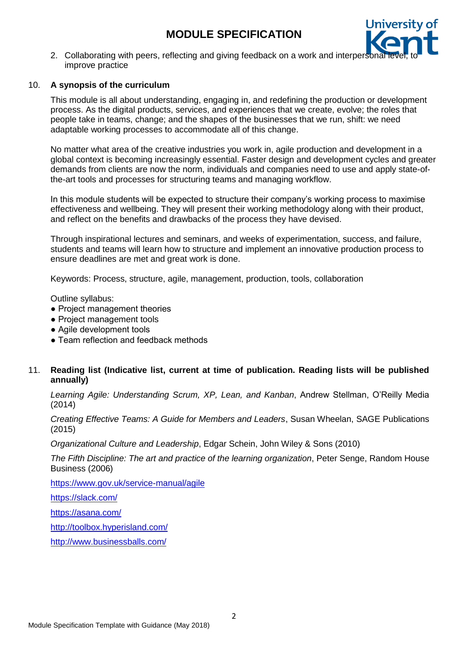

2. Collaborating with peers, reflecting and giving feedback on a work and interpers improve practice

## 10. **A synopsis of the curriculum**

This module is all about understanding, engaging in, and redefining the production or development process. As the digital products, services, and experiences that we create, evolve; the roles that people take in teams, change; and the shapes of the businesses that we run, shift: we need adaptable working processes to accommodate all of this change.

No matter what area of the creative industries you work in, agile production and development in a global context is becoming increasingly essential. Faster design and development cycles and greater demands from clients are now the norm, individuals and companies need to use and apply state-ofthe-art tools and processes for structuring teams and managing workflow.

In this module students will be expected to structure their company's working process to maximise effectiveness and wellbeing. They will present their working methodology along with their product, and reflect on the benefits and drawbacks of the process they have devised.

Through inspirational lectures and seminars, and weeks of experimentation, success, and failure, students and teams will learn how to structure and implement an innovative production process to ensure deadlines are met and great work is done.

Keywords: Process, structure, agile, management, production, tools, collaboration

Outline syllabus:

- Project management theories
- Project management tools
- Agile development tools
- Team reflection and feedback methods

## 11. **Reading list (Indicative list, current at time of publication. Reading lists will be published annually)**

*Learning Agile: Understanding Scrum, XP, Lean, and Kanban*, Andrew Stellman, O'Reilly Media (2014)

*Creating Effective Teams: A Guide for Members and Leaders*, Susan Wheelan, SAGE Publications (2015)

*Organizational Culture and Leadership*, Edgar Schein, John Wiley & Sons (2010)

*The Fifth Discipline: The art and practice of the learning organization*, Peter Senge, Random House Business (2006)

<https://www.gov.uk/service-manual/agile>

<https://slack.com/>

<https://asana.com/>

<http://toolbox.hyperisland.com/>

<http://www.businessballs.com/>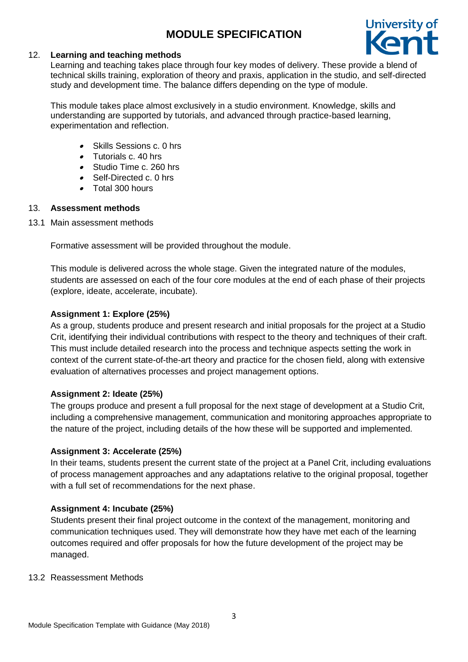

## 12. **Learning and teaching methods**

Learning and teaching takes place through four key modes of delivery. These provide a blend of technical skills training, exploration of theory and praxis, application in the studio, and self-directed study and development time. The balance differs depending on the type of module.

This module takes place almost exclusively in a studio environment. Knowledge, skills and understanding are supported by tutorials, and advanced through practice-based learning, experimentation and reflection.

- . Skills Sessions c. 0 hrs
- . Tutorials c. 40 hrs
- Studio Time c. 260 hrs
- Self-Directed c. 0 hrs
- Total 300 hours

## 13. **Assessment methods**

13.1 Main assessment methods

Formative assessment will be provided throughout the module.

This module is delivered across the whole stage. Given the integrated nature of the modules, students are assessed on each of the four core modules at the end of each phase of their projects (explore, ideate, accelerate, incubate).

## **Assignment 1: Explore (25%)**

As a group, students produce and present research and initial proposals for the project at a Studio Crit, identifying their individual contributions with respect to the theory and techniques of their craft. This must include detailed research into the process and technique aspects setting the work in context of the current state-of-the-art theory and practice for the chosen field, along with extensive evaluation of alternatives processes and project management options.

### **Assignment 2: Ideate (25%)**

The groups produce and present a full proposal for the next stage of development at a Studio Crit, including a comprehensive management, communication and monitoring approaches appropriate to the nature of the project, including details of the how these will be supported and implemented.

### **Assignment 3: Accelerate (25%)**

In their teams, students present the current state of the project at a Panel Crit, including evaluations of process management approaches and any adaptations relative to the original proposal, together with a full set of recommendations for the next phase.

### **Assignment 4: Incubate (25%)**

Students present their final project outcome in the context of the management, monitoring and communication techniques used. They will demonstrate how they have met each of the learning outcomes required and offer proposals for how the future development of the project may be managed.

#### 13.2 Reassessment Methods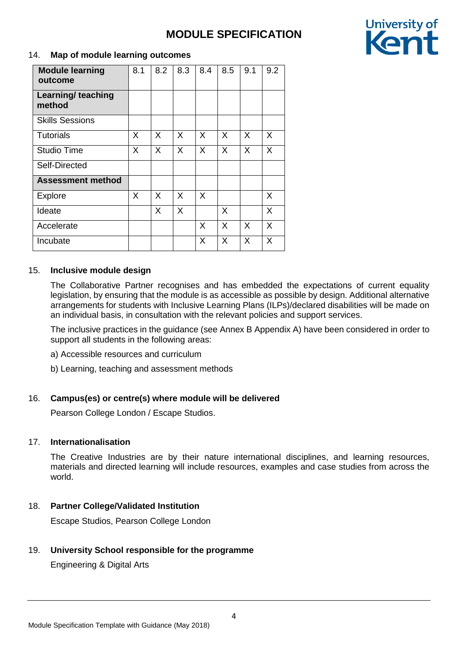

## 14. **Map of module learning outcomes**

| <b>Module learning</b><br>outcome | 8.1 | 8.2 | 8.3 | 8.4 | 8.5      | 9.1 | 9.2 |
|-----------------------------------|-----|-----|-----|-----|----------|-----|-----|
| Learning/ teaching<br>method      |     |     |     |     |          |     |     |
| <b>Skills Sessions</b>            |     |     |     |     |          |     |     |
| Tutorials                         | X   | X   | X   | X   | $\times$ | X   | X   |
| <b>Studio Time</b>                | X   | X   | X   | X   | X        | X   | X   |
| Self-Directed                     |     |     |     |     |          |     |     |
| <b>Assessment method</b>          |     |     |     |     |          |     |     |
| <b>Explore</b>                    | X   | X   | X   | X   |          |     | X   |
| Ideate                            |     | X   | X   |     | X        |     | X   |
| Accelerate                        |     |     |     | X   | X        | X   | X   |
| Incubate                          |     |     |     | X   | X        | X   | X   |

## 15. **Inclusive module design**

The Collaborative Partner recognises and has embedded the expectations of current equality legislation, by ensuring that the module is as accessible as possible by design. Additional alternative arrangements for students with Inclusive Learning Plans (ILPs)/declared disabilities will be made on an individual basis, in consultation with the relevant policies and support services.

The inclusive practices in the guidance (see Annex B Appendix A) have been considered in order to support all students in the following areas:

- a) Accessible resources and curriculum
- b) Learning, teaching and assessment methods

## 16. **Campus(es) or centre(s) where module will be delivered**

Pearson College London / Escape Studios.

### 17. **Internationalisation**

The Creative Industries are by their nature international disciplines, and learning resources, materials and directed learning will include resources, examples and case studies from across the world.

## 18. **Partner College/Validated Institution**

Escape Studios, Pearson College London

## 19. **University School responsible for the programme**

Engineering & Digital Arts